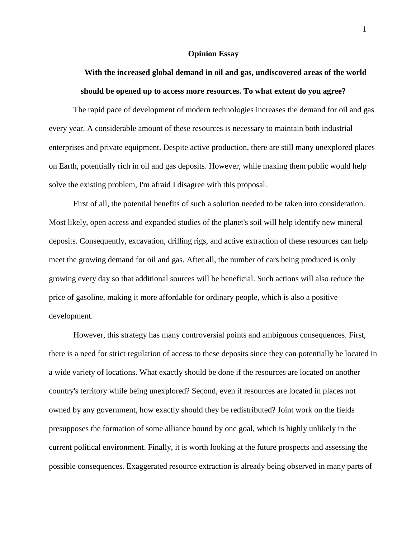## **Opinion Essay**

## **With the increased global demand in oil and gas, undiscovered areas of the world should be opened up to access more resources. To what extent do you agree?**

The rapid pace of development of modern technologies increases the demand for oil and gas every year. A considerable amount of these resources is necessary to maintain both industrial enterprises and private equipment. Despite active production, there are still many unexplored places on Earth, potentially rich in oil and gas deposits. However, while making them public would help solve the existing problem, I'm afraid I disagree with this proposal.

First of all, the potential benefits of such a solution needed to be taken into consideration. Most likely, open access and expanded studies of the planet's soil will help identify new mineral deposits. Consequently, excavation, drilling rigs, and active extraction of these resources can help meet the growing demand for oil and gas. After all, the number of cars being produced is only growing every day so that additional sources will be beneficial. Such actions will also reduce the price of gasoline, making it more affordable for ordinary people, which is also a positive development.

However, this strategy has many controversial points and ambiguous consequences. First, there is a need for strict regulation of access to these deposits since they can potentially be located in a wide variety of locations. What exactly should be done if the resources are located on another country's territory while being unexplored? Second, even if resources are located in places not owned by any government, how exactly should they be redistributed? Joint work on the fields presupposes the formation of some alliance bound by one goal, which is highly unlikely in the current political environment. Finally, it is worth looking at the future prospects and assessing the possible consequences. Exaggerated resource extraction is already being observed in many parts of